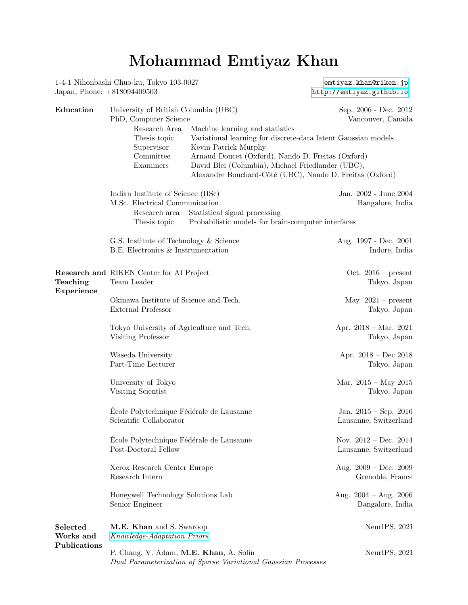## Mohammad Emtiyaz Khan

1-4-1 Nihonbashi Chuo-ku, Tokyo 103-0027 <emtiyaz.khan@riken.jp> Japan, Phone: +818094409503 <http://emtiyaz.github.io>

| Education                                   | University of British Columbia (UBC)<br>PhD, Computer Science                                            |                                                                                                                                                                                                                                                                                                | Sep. 2006 - Dec. 2012<br>Vancouver, Canada         |  |
|---------------------------------------------|----------------------------------------------------------------------------------------------------------|------------------------------------------------------------------------------------------------------------------------------------------------------------------------------------------------------------------------------------------------------------------------------------------------|----------------------------------------------------|--|
|                                             | Research Area<br>Thesis topic<br>Supervisor<br>Committee<br>Examiners                                    | Machine learning and statistics<br>Variational learning for discrete-data latent Gaussian models<br>Kevin Patrick Murphy<br>Arnaud Doucet (Oxford), Nando D. Freitas (Oxford)<br>David Blei (Columbia), Michael Friedlander (UBC),<br>Alexandre Bouchard-Côté (UBC), Nando D. Freitas (Oxford) |                                                    |  |
|                                             | Indian Institute of Science (IISc)<br>M.Sc. Electrical Communication<br>Research area<br>Thesis topic    | Statistical signal processing<br>Probabilistic models for brain-computer interfaces                                                                                                                                                                                                            | Jan. 2002 - June 2004<br>Bangalore, India          |  |
|                                             | G.S. Institute of Technology & Science<br>B.E. Electronics & Instrumentation                             |                                                                                                                                                                                                                                                                                                | Aug. 1997 - Dec. 2001<br>Indore, India             |  |
| Teaching<br>Experience                      | <b>Research and RIKEN Center for AI Project</b><br>Team Leader                                           |                                                                                                                                                                                                                                                                                                | Oct. $2016$ – present<br>Tokyo, Japan              |  |
|                                             | Okinawa Institute of Science and Tech.<br>External Professor                                             |                                                                                                                                                                                                                                                                                                | May. $2021$ – present<br>Tokyo, Japan              |  |
|                                             | Tokyo University of Agriculture and Tech.<br>Visiting Professor                                          |                                                                                                                                                                                                                                                                                                | Apr. $2018 - \text{Mar. } 2021$<br>Tokyo, Japan    |  |
|                                             | Waseda University<br>Part-Time Lecturer                                                                  |                                                                                                                                                                                                                                                                                                | Apr. $2018 - Dec 2018$<br>Tokyo, Japan             |  |
|                                             | University of Tokyo<br>Visiting Scientist                                                                |                                                                                                                                                                                                                                                                                                | Mar. $2015 - May 2015$<br>Tokyo, Japan             |  |
|                                             | École Polytechnique Fédérale de Lausanne<br>Scientific Collaborator                                      |                                                                                                                                                                                                                                                                                                | Jan. $2015 - Sep.$ $2016$<br>Lausanne, Switzerland |  |
|                                             | École Polytechnique Fédérale de Lausanne<br>Post-Doctoral Fellow                                         |                                                                                                                                                                                                                                                                                                | Nov. $2012 - Dec. 2014$<br>Lausanne, Switzerland   |  |
|                                             | Xerox Research Center Europe<br>Research Intern                                                          |                                                                                                                                                                                                                                                                                                | Aug. $2009 - Dec. 2009$<br>Grenoble, France        |  |
|                                             | Honeywell Technology Solutions Lab<br>Senior Engineer                                                    |                                                                                                                                                                                                                                                                                                | Aug. $2004 - Aug. 2006$<br>Bangalore, India        |  |
| $\rm Selected$<br>Works and<br>Publications | M.E. Khan and S. Swaroop<br>Knowledge-Adaptation Priors                                                  |                                                                                                                                                                                                                                                                                                | NeurIPS, 2021                                      |  |
|                                             | P. Chang, V. Adam, M.E. Khan, A. Solin<br>Dual Parameterization of Sparse Variational Gaussian Processes |                                                                                                                                                                                                                                                                                                | NeurIPS, 2021                                      |  |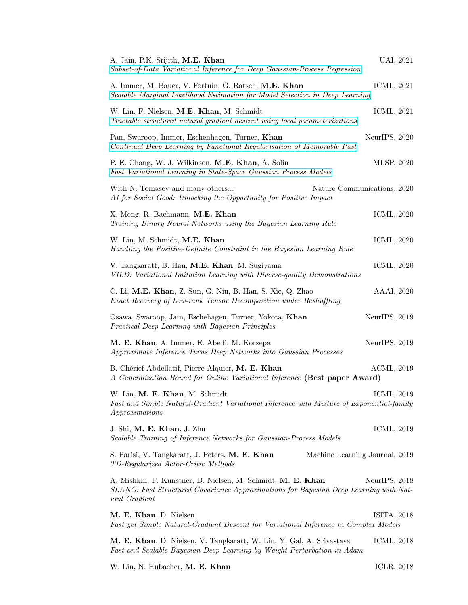| A. Jain, P.K. Srijith, M.E. Khan<br>Subset-of-Data Variational Inference for Deep Gaussian-Process Regression                                                         | UAI, 2021     |  |
|-----------------------------------------------------------------------------------------------------------------------------------------------------------------------|---------------|--|
| A. Immer, M. Bauer, V. Fortuin, G. Ratsch, M.E. Khan<br>Scalable Marginal Likelihood Estimation for Model Selection in Deep Learning                                  | ICML, 2021    |  |
| W. Lin, F. Nielsen, M.E. Khan, M. Schmidt<br>Tractable structured natural gradient descent using local parameterizations                                              | ICML, 2021    |  |
| Pan, Swaroop, Immer, Eschenhagen, Turner, Khan<br>Continual Deep Learning by Functional Regularisation of Memorable Past                                              | NeurIPS, 2020 |  |
| P. E. Chang, W. J. Wilkinson, M.E. Khan, A. Solin<br>Fast Variational Learning in State-Space Gaussian Process Models                                                 | MLSP, 2020    |  |
| With N. Tomasev and many others<br>Nature Communications, 2020<br>AI for Social Good: Unlocking the Opportunity for Positive Impact                                   |               |  |
| X. Meng, R. Bachmann, M.E. Khan<br>Training Binary Neural Networks using the Bayesian Learning Rule                                                                   | ICML, 2020    |  |
| W. Lin, M. Schmidt, M.E. Khan<br>Handling the Positive-Definite Constraint in the Bayesian Learning Rule                                                              | ICML, 2020    |  |
| V. Tangkaratt, B. Han, M.E. Khan, M. Sugiyama<br>VILD: Variational Imitation Learning with Diverse-quality Demonstrations                                             | ICML, 2020    |  |
| C. Li, M.E. Khan, Z. Sun, G. Niu, B. Han, S. Xie, Q. Zhao<br>Exact Recovery of Low-rank Tensor Decomposition under Reshuffling                                        | AAAI, 2020    |  |
| Osawa, Swaroop, Jain, Eschehagen, Turner, Yokota, Khan<br>Practical Deep Learning with Bayesian Principles                                                            | NeurIPS, 2019 |  |
| M. E. Khan, A. Immer, E. Abedi, M. Korzepa<br>Approximate Inference Turns Deep Networks into Gaussian Processes                                                       | NeurIPS, 2019 |  |
| B. Chérief-Abdellatif, Pierre Alquier, M. E. Khan<br>A Generalization Bound for Online Variational Inference (Best paper Award)                                       | ACML, 2019    |  |
| W. Lin, M. E. Khan, M. Schmidt<br>Fast and Simple Natural-Gradient Variational Inference with Mixture of Exponential-family<br>Approximations                         | ICML, 2019    |  |
| J. Shi, M. E. Khan, J. Zhu<br>Scalable Training of Inference Networks for Gaussian-Process Models                                                                     | ICML, 2019    |  |
| S. Parisi, V. Tangkaratt, J. Peters, M. E. Khan<br>Machine Learning Journal, 2019<br>TD-Regularized Actor-Critic Methods                                              |               |  |
| A. Mishkin, F. Kunstner, D. Nielsen, M. Schmidt, M. E. Khan<br>SLANG: Fast Structured Covariance Approximations for Bayesian Deep Learning with Nat-<br>ural Gradient | NeurIPS, 2018 |  |
| M. E. Khan, D. Nielsen<br>Fast yet Simple Natural-Gradient Descent for Variational Inference in Complex Models                                                        | ISITA, 2018   |  |
| M. E. Khan, D. Nielsen, V. Tangkaratt, W. Lin, Y. Gal, A. Srivastava<br>Fast and Scalable Bayesian Deep Learning by Weight-Perturbation in Adam                       | ICML, 2018    |  |

W. Lin, N. Hubacher, M. E. Khan ICLR, 2018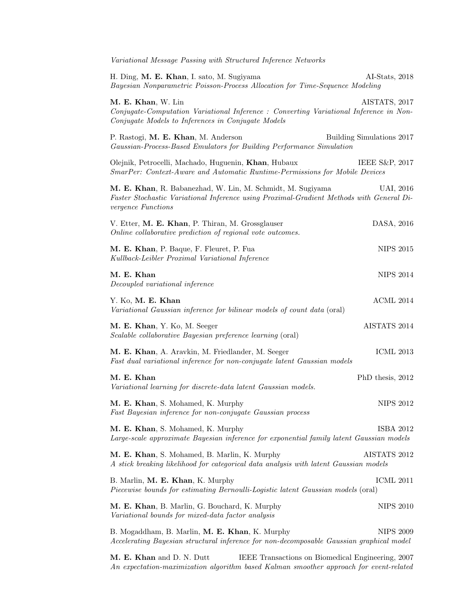| Variational Message Passing with Structured Inference Networks                                                                                                               |                           |
|------------------------------------------------------------------------------------------------------------------------------------------------------------------------------|---------------------------|
| H. Ding, M. E. Khan, I. sato, M. Sugiyama<br>Bayesian Nonparametric Poisson-Process Allocation for Time-Sequence Modeling                                                    | AI-Stats, 2018            |
| M. E. Khan, W. Lin<br>Conjugate-Computation Variational Inference : Converting Variational Inference in Non-<br>Conjugate Models to Inferences in Conjugate Models           | AISTATS, 2017             |
| P. Rastogi, M. E. Khan, M. Anderson<br>Gaussian-Process-Based Emulators for Building Performance Simulation                                                                  | Building Simulations 2017 |
| Olejnik, Petrocelli, Machado, Huguenin, Khan, Hubaux<br>SmarPer: Context-Aware and Automatic Runtime-Permissions for Mobile Devices                                          | IEEE S&P, 2017            |
| M. E. Khan, R. Babanezhad, W. Lin, M. Schmidt, M. Sugiyama<br>Faster Stochastic Variational Inference using Proximal-Gradient Methods with General Di-<br>vergence Functions | UAI, 2016                 |
| V. Etter, M. E. Khan, P. Thiran, M. Grossglauser<br>Online collaborative prediction of regional vote outcomes.                                                               | DASA, 2016                |
| M. E. Khan, P. Baque, F. Fleuret, P. Fua<br>Kullback-Leibler Proximal Variational Inference                                                                                  | <b>NIPS 2015</b>          |
| M. E. Khan<br>Decoupled variational inference                                                                                                                                | <b>NIPS 2014</b>          |
| Y. Ko, M. E. Khan<br>Variational Gaussian inference for bilinear models of count data (oral)                                                                                 | ACML 2014                 |
| M. E. Khan, Y. Ko, M. Seeger<br>Scalable collaborative Bayesian preference learning (oral)                                                                                   | AISTATS 2014              |
| M. E. Khan, A. Aravkin, M. Friedlander, M. Seeger<br>Fast dual variational inference for non-conjugate latent Gaussian models                                                | <b>ICML 2013</b>          |
| M. E. Khan<br>Variational learning for discrete-data latent Gaussian models.                                                                                                 | PhD thesis, 2012          |
| M. E. Khan, S. Mohamed, K. Murphy<br>Fast Bayesian inference for non-conjugate Gaussian process                                                                              | <b>NIPS 2012</b>          |
| M. E. Khan, S. Mohamed, K. Murphy<br>Large-scale approximate Bayesian inference for exponential family latent Gaussian models                                                | ISBA 2012                 |
| M. E. Khan, S. Mohamed, B. Marlin, K. Murphy<br>A stick breaking likelihood for categorical data analysis with latent Gaussian models                                        | AISTATS 2012              |
| B. Marlin, M. E. Khan, K. Murphy<br>Piecewise bounds for estimating Bernoulli-Logistic latent Gaussian models (oral)                                                         | <b>ICML 2011</b>          |
| M. E. Khan, B. Marlin, G. Bouchard, K. Murphy<br>Variational bounds for mixed-data factor analysis                                                                           | <b>NIPS 2010</b>          |
| B. Mogaddham, B. Marlin, M. E. Khan, K. Murphy<br>Accelerating Bayesian structural inference for non-decomposable Gaussian graphical model                                   | <b>NIPS 2009</b>          |
|                                                                                                                                                                              |                           |

M. E. Khan and D. N. Dutt IEEE Transactions on Biomedical Engineering, 2007 An expectation-maximization algorithm based Kalman smoother approach for event-related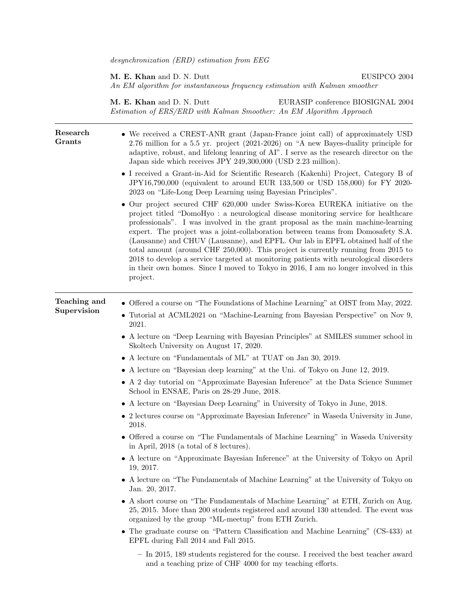desynchronization (ERD) estimation from EEG

M. E. Khan and D. N. Dutt EUSIPCO 2004 An EM algorithm for instantaneous frequency estimation with Kalman smoother

M. E. Khan and D. N. Dutt EURASIP conference BIOSIGNAL 2004 Estimation of ERS/ERD with Kalman Smoother: An EM Algorithm Approach

| Research<br>Grants          | • We received a CREST-ANR grant (Japan-France joint call) of approximately USD<br>2.76 million for a 5.5 yr. project $(2021-2026)$ on "A new Bayes-duality principle for<br>adaptive, robust, and lifelong leanning of AI". I serve as the research director on the<br>Japan side which receives JPY 249,300,000 (USD 2.23 million).<br>• I received a Grant-in-Aid for Scientific Research (Kakenhi) Project, Category B of<br>JPY16,790,000 (equivalent to around EUR 133,500 or USD 158,000) for FY 2020-<br>2023 on "Life-Long Deep Learning using Bayesian Principles".<br>• Our project secured CHF 620,000 under Swiss-Korea EUREKA initiative on the<br>project titled "DomoHyo: a neurological disease monitoring service for healthcare<br>professionals". I was involved in the grant proposal as the main machine-learning<br>expert. The project was a joint-collaboration between teams from Domosafety S.A.<br>(Lausanne) and CHUV (Lausanne), and EPFL. Our lab in EPFL obtained half of the<br>total amount (around CHF 250,000). This project is currently running from 2015 to<br>2018 to develop a service targeted at monitoring patients with neurological disorders<br>in their own homes. Since I moved to Tokyo in 2016, I am no longer involved in this<br>project. |
|-----------------------------|-----------------------------------------------------------------------------------------------------------------------------------------------------------------------------------------------------------------------------------------------------------------------------------------------------------------------------------------------------------------------------------------------------------------------------------------------------------------------------------------------------------------------------------------------------------------------------------------------------------------------------------------------------------------------------------------------------------------------------------------------------------------------------------------------------------------------------------------------------------------------------------------------------------------------------------------------------------------------------------------------------------------------------------------------------------------------------------------------------------------------------------------------------------------------------------------------------------------------------------------------------------------------------------------------|
| Teaching and<br>Supervision | • Offered a course on "The Foundations of Machine Learning" at OIST from May, 2022.<br>• Tutorial at ACML2021 on "Machine-Learning from Bayesian Perspective" on Nov 9,<br>2021.                                                                                                                                                                                                                                                                                                                                                                                                                                                                                                                                                                                                                                                                                                                                                                                                                                                                                                                                                                                                                                                                                                              |
|                             | • A lecture on "Deep Learning with Bayesian Principles" at SMILES summer school in<br>Skoltech University on August 17, 2020.                                                                                                                                                                                                                                                                                                                                                                                                                                                                                                                                                                                                                                                                                                                                                                                                                                                                                                                                                                                                                                                                                                                                                                 |
|                             | • A lecture on "Fundamentals of ML" at TUAT on Jan 30, 2019.                                                                                                                                                                                                                                                                                                                                                                                                                                                                                                                                                                                                                                                                                                                                                                                                                                                                                                                                                                                                                                                                                                                                                                                                                                  |
|                             | • A lecture on "Bayesian deep learning" at the Uni. of Tokyo on June 12, 2019.                                                                                                                                                                                                                                                                                                                                                                                                                                                                                                                                                                                                                                                                                                                                                                                                                                                                                                                                                                                                                                                                                                                                                                                                                |
|                             | • A 2 day tutorial on "Approximate Bayesian Inference" at the Data Science Summer<br>School in ENSAE, Paris on 28-29 June, 2018.                                                                                                                                                                                                                                                                                                                                                                                                                                                                                                                                                                                                                                                                                                                                                                                                                                                                                                                                                                                                                                                                                                                                                              |
|                             | • A lecture on "Bayesian Deep Learning" in University of Tokyo in June, 2018.                                                                                                                                                                                                                                                                                                                                                                                                                                                                                                                                                                                                                                                                                                                                                                                                                                                                                                                                                                                                                                                                                                                                                                                                                 |
|                             | • 2 lectures course on "Approximate Bayesian Inference" in Waseda University in June,<br>2018.                                                                                                                                                                                                                                                                                                                                                                                                                                                                                                                                                                                                                                                                                                                                                                                                                                                                                                                                                                                                                                                                                                                                                                                                |
|                             | • Offered a course on "The Fundamentals of Machine Learning" in Waseda University<br>in April, 2018 (a total of 8 lectures).                                                                                                                                                                                                                                                                                                                                                                                                                                                                                                                                                                                                                                                                                                                                                                                                                                                                                                                                                                                                                                                                                                                                                                  |
|                             | • A lecture on "Approximate Bayesian Inference" at the University of Tokyo on April<br>19, 2017.                                                                                                                                                                                                                                                                                                                                                                                                                                                                                                                                                                                                                                                                                                                                                                                                                                                                                                                                                                                                                                                                                                                                                                                              |
|                             | $\bullet$ A lecture on "The Fundamentals of Machine Learning" at the University of Tokyo on<br>Jan. 20, 2017.                                                                                                                                                                                                                                                                                                                                                                                                                                                                                                                                                                                                                                                                                                                                                                                                                                                                                                                                                                                                                                                                                                                                                                                 |
|                             | • A short course on "The Fundamentals of Machine Learning" at ETH, Zurich on Aug.<br>25, 2015. More than 200 students registered and around 130 attended. The event was<br>organized by the group "ML-meetup" from ETH Zurich.                                                                                                                                                                                                                                                                                                                                                                                                                                                                                                                                                                                                                                                                                                                                                                                                                                                                                                                                                                                                                                                                |
|                             | • The graduate course on "Pattern Classification and Machine Learning" (CS-433) at<br>EPFL during Fall 2014 and Fall 2015.                                                                                                                                                                                                                                                                                                                                                                                                                                                                                                                                                                                                                                                                                                                                                                                                                                                                                                                                                                                                                                                                                                                                                                    |
|                             | $-$ In 2015, 189 students registered for the course. I received the best teacher award<br>and a teaching prize of CHF 4000 for my teaching efforts.                                                                                                                                                                                                                                                                                                                                                                                                                                                                                                                                                                                                                                                                                                                                                                                                                                                                                                                                                                                                                                                                                                                                           |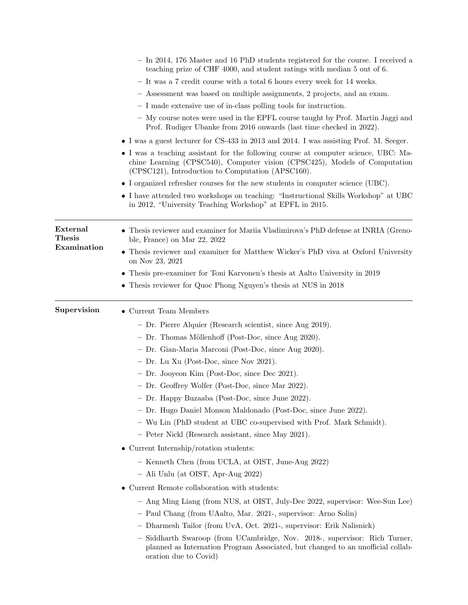|                           | $-$ In 2014, 176 Master and 16 PhD students registered for the course. I received a<br>teaching prize of CHF 4000, and student ratings with median 5 out of 6.                                                         |
|---------------------------|------------------------------------------------------------------------------------------------------------------------------------------------------------------------------------------------------------------------|
|                           | - It was a 7 credit course with a total 6 hours every week for 14 weeks.                                                                                                                                               |
|                           | - Assessment was based on multiple assignments, 2 projects, and an exam.                                                                                                                                               |
|                           | - I made extensive use of in-class polling tools for instruction.                                                                                                                                                      |
|                           | - My course notes were used in the EPFL course taught by Prof. Martin Jaggi and<br>Prof. Rudiger Ubanke from 2016 onwards (last time checked in 2022).                                                                 |
|                           | • I was a guest lecturer for CS-433 in 2013 and 2014. I was assisting Prof. M. Seeger.                                                                                                                                 |
|                           | • I was a teaching assistant for the following course at computer science, UBC: Ma-<br>chine Learning (CPSC540), Computer vision (CPSC425), Models of Computation<br>(CPSC121), Introduction to Computation (APSC160). |
|                           | $\bullet$ I organized refresher courses for the new students in computer science (UBC).                                                                                                                                |
|                           | • I have attended two workshops on teaching: "Instructional Skills Workshop" at UBC<br>in 2012, "University Teaching Workshop" at EPFL in 2015.                                                                        |
| External<br><b>Thesis</b> | • Thesis reviewer and examiner for Mariia Vladimirova's PhD defense at INRIA (Greno-<br>ble, France) on Mar 22, 2022                                                                                                   |
| Examination               | • Thesis reviewer and examiner for Matthew Wicker's PhD viva at Oxford University<br>on Nov 23, 2021                                                                                                                   |
|                           | • Thesis pre-examiner for Toni Karvonen's thesis at Aalto University in 2019                                                                                                                                           |
|                           | • Thesis reviewer for Quoc Phong Nguyen's thesis at NUS in 2018                                                                                                                                                        |
| Supervision               | • Current Team Members                                                                                                                                                                                                 |
|                           | - Dr. Pierre Alquier (Research scientist, since Aug 2019).                                                                                                                                                             |
|                           | - Dr. Thomas Möllenhoff (Post-Doc, since Aug 2020).                                                                                                                                                                    |
|                           | - Dr. Gian-Maria Marconi (Post-Doc, since Aug 2020).                                                                                                                                                                   |
|                           | $-$ Dr. Lu Xu (Post-Doc, since Nov 2021).                                                                                                                                                                              |
|                           | $-$ Dr. Jooyeon Kim (Post-Doc, since Dec 2021).                                                                                                                                                                        |
|                           | - Dr. Geoffrey Wolfer (Post-Doc, since Mar 2022).                                                                                                                                                                      |
|                           | - Dr. Happy Buzaaba (Post-Doc, since June 2022).                                                                                                                                                                       |
|                           | - Dr. Hugo Daniel Monson Maldonado (Post-Doc, since June 2022).                                                                                                                                                        |
|                           | - Wu Lin (PhD student at UBC co-supervised with Prof. Mark Schmidt).                                                                                                                                                   |
|                           | - Peter Nickl (Research assistant, since May 2021).                                                                                                                                                                    |
|                           | • Current Internship/rotation students:                                                                                                                                                                                |
|                           | - Kenneth Chen (from UCLA, at OIST, June-Aug 2022)                                                                                                                                                                     |
|                           |                                                                                                                                                                                                                        |
|                           | - Ali Unlu (at OIST, Apr-Aug 2022)                                                                                                                                                                                     |
|                           | • Current Remote collaboration with students:                                                                                                                                                                          |
|                           | - Ang Ming Liang (from NUS, at OIST, July-Dec 2022, supervisor: Wee-Sun Lee)                                                                                                                                           |
|                           | - Paul Chang (from UAalto, Mar. 2021-, supervisor: Arno Solin)                                                                                                                                                         |
|                           | - Dharmesh Tailor (from UvA, Oct. 2021-, supervisor: Erik Nalisnick)                                                                                                                                                   |
|                           | - Siddharth Swaroop (from UCambridge, Nov. 2018-, supervisor: Rich Turner,<br>planned as Internation Program Associated, but changed to an unofficial collab-<br>oration due to Covid)                                 |
|                           |                                                                                                                                                                                                                        |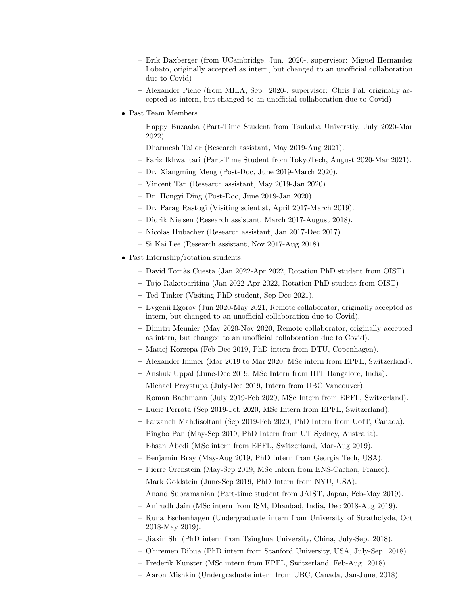- Erik Daxberger (from UCambridge, Jun. 2020-, supervisor: Miguel Hernandez Lobato, originally accepted as intern, but changed to an unofficial collaboration due to Covid)
- Alexander Piche (from MILA, Sep. 2020-, supervisor: Chris Pal, originally accepted as intern, but changed to an unofficial collaboration due to Covid)
- Past Team Members
	- Happy Buzaaba (Part-Time Student from Tsukuba Universtiy, July 2020-Mar 2022).
	- Dharmesh Tailor (Research assistant, May 2019-Aug 2021).
	- Fariz Ikhwantari (Part-Time Student from TokyoTech, August 2020-Mar 2021).
	- Dr. Xiangming Meng (Post-Doc, June 2019-March 2020).
	- Vincent Tan (Research assistant, May 2019-Jan 2020).
	- Dr. Hongyi Ding (Post-Doc, June 2019-Jan 2020).
	- Dr. Parag Rastogi (Visiting scientist, April 2017-March 2019).
	- Didrik Nielsen (Research assistant, March 2017-August 2018).
	- Nicolas Hubacher (Research assistant, Jan 2017-Dec 2017).
	- Si Kai Lee (Research assistant, Nov 2017-Aug 2018).
- Past Internship/rotation students:
	- David Tom`as Cuesta (Jan 2022-Apr 2022, Rotation PhD student from OIST).
	- Tojo Rakotoaritina (Jan 2022-Apr 2022, Rotation PhD student from OIST)
	- Ted Tinker (Visiting PhD student, Sep-Dec 2021).
	- Evgenii Egorov (Jun 2020-May 2021, Remote collaborator, originally accepted as intern, but changed to an unofficial collaboration due to Covid).
	- Dimitri Meunier (May 2020-Nov 2020, Remote collaborator, originally accepted as intern, but changed to an unofficial collaboration due to Covid).
	- Maciej Korzepa (Feb-Dec 2019, PhD intern from DTU, Copenhagen).
	- Alexander Immer (Mar 2019 to Mar 2020, MSc intern from EPFL, Switzerland).
	- Anshuk Uppal (June-Dec 2019, MSc Intern from IIIT Bangalore, India).
	- Michael Przystupa (July-Dec 2019, Intern from UBC Vancouver).
	- Roman Bachmann (July 2019-Feb 2020, MSc Intern from EPFL, Switzerland).
	- Lucie Perrota (Sep 2019-Feb 2020, MSc Intern from EPFL, Switzerland).
	- Farzaneh Mahdisoltani (Sep 2019-Feb 2020, PhD Intern from UofT, Canada).
	- Pingbo Pan (May-Sep 2019, PhD Intern from UT Sydney, Australia).
	- Ehsan Abedi (MSc intern from EPFL, Switzerland, Mar-Aug 2019).
	- Benjamin Bray (May-Aug 2019, PhD Intern from Georgia Tech, USA).
	- Pierre Orenstein (May-Sep 2019, MSc Intern from ENS-Cachan, France).
	- Mark Goldstein (June-Sep 2019, PhD Intern from NYU, USA).
	- Anand Subramanian (Part-time student from JAIST, Japan, Feb-May 2019).
	- Anirudh Jain (MSc intern from ISM, Dhanbad, India, Dec 2018-Aug 2019).
	- Runa Eschenhagen (Undergraduate intern from University of Strathclyde, Oct 2018-May 2019).
	- Jiaxin Shi (PhD intern from Tsinghua University, China, July-Sep. 2018).
	- Ohiremen Dibua (PhD intern from Stanford University, USA, July-Sep. 2018).
	- Frederik Kunster (MSc intern from EPFL, Switzerland, Feb-Aug. 2018).
	- Aaron Mishkin (Undergraduate intern from UBC, Canada, Jan-June, 2018).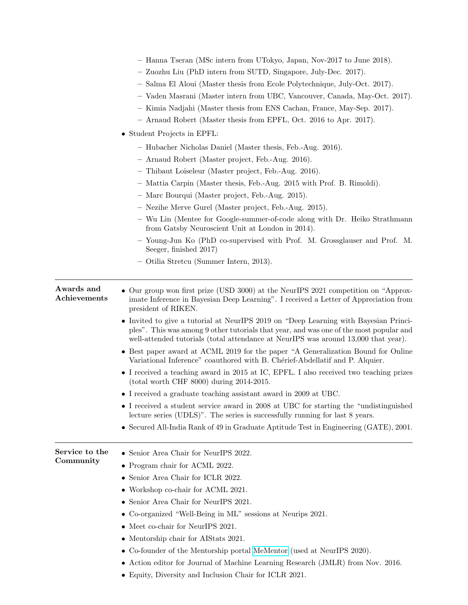|                            | - Hanna Tseran (MSc intern from UTokyo, Japan, Nov-2017 to June 2018).                                                                                                                                                                                               |
|----------------------------|----------------------------------------------------------------------------------------------------------------------------------------------------------------------------------------------------------------------------------------------------------------------|
|                            | - Zuozhu Liu (PhD intern from SUTD, Singapore, July-Dec. 2017).                                                                                                                                                                                                      |
|                            | - Salma El Aloui (Master thesis from Ecole Polytechnique, July-Oct. 2017).                                                                                                                                                                                           |
|                            | - Vaden Masrani (Master intern from UBC, Vancouver, Canada, May-Oct. 2017).                                                                                                                                                                                          |
|                            | - Kimia Nadjahi (Master thesis from ENS Cachan, France, May-Sep. 2017).                                                                                                                                                                                              |
|                            | - Arnaud Robert (Master thesis from EPFL, Oct. 2016 to Apr. 2017).                                                                                                                                                                                                   |
|                            | • Student Projects in EPFL:                                                                                                                                                                                                                                          |
|                            | - Hubacher Nicholas Daniel (Master thesis, Feb.-Aug. 2016).                                                                                                                                                                                                          |
|                            | - Arnaud Robert (Master project, Feb.-Aug. 2016).                                                                                                                                                                                                                    |
|                            | - Thibaut Loiseleur (Master project, Feb.-Aug. 2016).                                                                                                                                                                                                                |
|                            | - Mattia Carpin (Master thesis, Feb.-Aug. 2015 with Prof. B. Rimoldi).                                                                                                                                                                                               |
|                            | - Marc Bourqui (Master project, Feb.-Aug. 2015).                                                                                                                                                                                                                     |
|                            | - Nezihe Merve Gurel (Master project, Feb.-Aug. 2015).                                                                                                                                                                                                               |
|                            | - Wu Lin (Mentee for Google-summer-of-code along with Dr. Heiko Strathmann<br>from Gatsby Neuroscient Unit at London in 2014).                                                                                                                                       |
|                            | - Young-Jun Ko (PhD co-supervised with Prof. M. Grossglauser and Prof. M.<br>Seeger, finished 2017)                                                                                                                                                                  |
|                            | - Otilia Stretcu (Summer Intern, 2013).                                                                                                                                                                                                                              |
|                            |                                                                                                                                                                                                                                                                      |
| Awards and<br>Achievements | • Our group won first prize (USD 3000) at the NeurlPS 2021 competition on "Approx-<br>imate Inference in Bayesian Deep Learning". I received a Letter of Appreciation from<br>president of RIKEN.                                                                    |
|                            | • Invited to give a tutorial at NeurlPS 2019 on "Deep Learning with Bayesian Princi-<br>ples". This was among 9 other tutorials that year, and was one of the most popular and<br>well-attended tutorials (total attendance at NeurIPS was around 13,000 that year). |
|                            | • Best paper award at ACML 2019 for the paper "A Generalization Bound for Online<br>Variational Inference" coauthored with B. Chérief-Abdellatif and P. Alquier.                                                                                                     |
|                            | • I received a teaching award in 2015 at IC, EPFL. I also received two teaching prizes<br>$(total worth CHF 8000) during 2014-2015.$                                                                                                                                 |
|                            | • I received a graduate teaching assistant award in 2009 at UBC.                                                                                                                                                                                                     |
|                            | • I received a student service award in 2008 at UBC for starting the "undistinguished"<br>lecture series (UDLS)". The series is successfully running for last 8 years.                                                                                               |
|                            | • Secured All-India Rank of 49 in Graduate Aptitude Test in Engineering (GATE), 2001.                                                                                                                                                                                |
| Service to the             | • Senior Area Chair for NeurIPS 2022.                                                                                                                                                                                                                                |
| Community                  | • Program chair for ACML 2022.                                                                                                                                                                                                                                       |
|                            | Senior Area Chair for ICLR 2022.                                                                                                                                                                                                                                     |
|                            | Workshop co-chair for ACML 2021.                                                                                                                                                                                                                                     |
|                            | • Senior Area Chair for NeurIPS 2021.                                                                                                                                                                                                                                |
|                            | Co-organized "Well-Being in ML" sessions at Neurips 2021.                                                                                                                                                                                                            |
|                            |                                                                                                                                                                                                                                                                      |
|                            | Meet co-chair for NeurIPS 2021.                                                                                                                                                                                                                                      |
|                            | • Mentorship chair for AIStats 2021.                                                                                                                                                                                                                                 |
|                            | • Co-founder of the Mentorship portal MeMentor (used at NeurlPS 2020).                                                                                                                                                                                               |
|                            | Action editor for Journal of Machine Learning Research (JMLR) from Nov. 2016.<br>٠                                                                                                                                                                                   |
|                            | • Equity, Diversity and Inclusion Chair for ICLR 2021.                                                                                                                                                                                                               |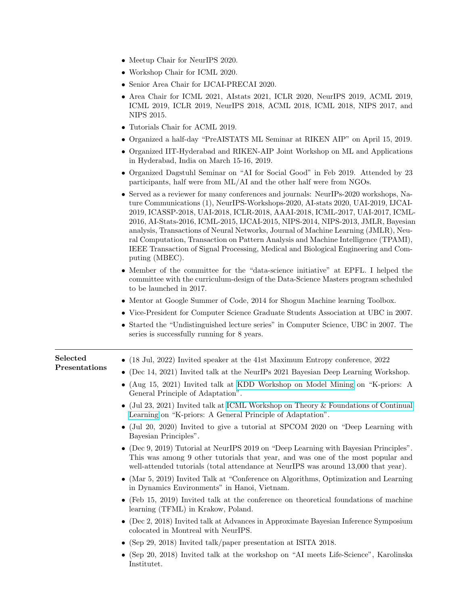- Meetup Chair for NeurlPS 2020.
- Workshop Chair for ICML 2020.
- Senior Area Chair for IJCAI-PRECAI 2020.
- Area Chair for ICML 2021, AIstats 2021, ICLR 2020, NeurIPS 2019, ACML 2019, ICML 2019, ICLR 2019, NeurIPS 2018, ACML 2018, ICML 2018, NIPS 2017, and NIPS 2015.
- Tutorials Chair for ACML 2019.
- Organized a half-day "PreAISTATS ML Seminar at RIKEN AIP" on April 15, 2019.
- Organized IIT-Hyderabad and RIKEN-AIP Joint Workshop on ML and Applications in Hyderabad, India on March 15-16, 2019.
- Organized Dagstuhl Seminar on "AI for Social Good" in Feb 2019. Attended by 23 participants, half were from ML/AI and the other half were from NGOs.
- Served as a reviewer for many conferences and journals: NeurIPs-2020 workshops, Nature Communications (1), NeurIPS-Workshops-2020, AI-stats 2020, UAI-2019, IJCAI-2019, ICASSP-2018, UAI-2018, ICLR-2018, AAAI-2018, ICML-2017, UAI-2017, ICML-2016, AI-Stats-2016, ICML-2015, IJCAI-2015, NIPS-2014, NIPS-2013, JMLR, Bayesian analysis, Transactions of Neural Networks, Journal of Machine Learning (JMLR), Neural Computation, Transaction on Pattern Analysis and Machine Intelligence (TPAMI), IEEE Transaction of Signal Processing, Medical and Biological Engineering and Computing (MBEC).
- Member of the committee for the "data-science initiative" at EPFL. I helped the committee with the curriculum-design of the Data-Science Masters program scheduled to be launched in 2017.
- Mentor at Google Summer of Code, 2014 for Shogun Machine learning Toolbox.
- Vice-President for Computer Science Graduate Students Association at UBC in 2007.
- Started the "Undistinguished lecture series" in Computer Science, UBC in 2007. The series is successfully running for 8 years.

| Selected<br>Presentations | • $(18 \text{ Jul}, 2022)$ Invited speaker at the 41st Maximum Entropy conference, 2022                                                                                                                                                                        |
|---------------------------|----------------------------------------------------------------------------------------------------------------------------------------------------------------------------------------------------------------------------------------------------------------|
|                           | • (Dec 14, 2021) Invited talk at the NeurlPs 2021 Bayesian Deep Learning Workshop.                                                                                                                                                                             |
|                           | • (Aug 15, 2021) Invited talk at KDD Workshop on Model Mining on "K-priors: A<br>General Principle of Adaptation".                                                                                                                                             |
|                           | • (Jul 23, 2021) Invited talk at ICML Workshop on Theory & Foundations of Continual<br>Learning on "K-priors: A General Principle of Adaptation".                                                                                                              |
|                           | • (Jul 20, 2020) Invited to give a tutorial at SPCOM 2020 on "Deep Learning with<br>Bayesian Principles".                                                                                                                                                      |
|                           | • (Dec 9, 2019) Tutorial at NeurlPS 2019 on "Deep Learning with Bayesian Principles".<br>This was among 9 other tutorials that year, and was one of the most popular and<br>well-attended tutorials (total attendance at NeurIPS was around 13,000 that year). |
|                           | • (Mar $5, 2019$ ) Invited Talk at "Conference on Algorithms, Optimization and Learning<br>in Dynamics Environments" in Hanoi, Vietnam.                                                                                                                        |
|                           | • (Feb 15, 2019) Invited talk at the conference on theoretical foundations of machine<br>learning (TFML) in Krakow, Poland.                                                                                                                                    |
|                           | • (Dec 2, 2018) Invited talk at Advances in Approximate Bayesian Inference Symposium<br>colocated in Montreal with NeurlPS.                                                                                                                                    |
|                           | • (Sep 29, 2018) Invited talk/paper presentation at ISITA 2018.                                                                                                                                                                                                |
|                           | • (Sep 20, 2018) Invited talk at the workshop on "AI meets Life-Science", Karolinska<br>Institutet.                                                                                                                                                            |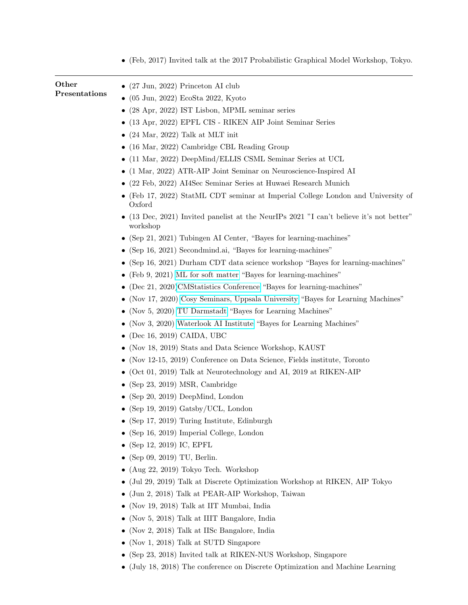|                        | $\bullet$ (Feb, 2017) Invited talk at the 2017 Probabilistic Graphical Model Workshop, Tokyo.       |
|------------------------|-----------------------------------------------------------------------------------------------------|
| Other<br>Presentations | $\bullet$ (27 Jun, 2022) Princeton AI club                                                          |
|                        | $\bullet$ (05 Jun, 2022) EcoSta 2022, Kyoto                                                         |
|                        | $(28$ Apr, $2022)$ IST Lisbon, MPML seminar series                                                  |
|                        | $\bullet$ (13 Apr, 2022) EPFL CIS - RIKEN AIP Joint Seminar Series                                  |
|                        | $\bullet$ (24 Mar, 2022) Talk at MLT init                                                           |
|                        | $\bullet$ (16 Mar, 2022) Cambridge CBL Reading Group                                                |
|                        | $\bullet$ (11 Mar, 2022) DeepMind/ELLIS CSML Seminar Series at UCL                                  |
|                        | $\bullet$ (1 Mar, 2022) ATR-AIP Joint Seminar on Neuroscience-Inspired AI                           |
|                        | • (22 Feb, 2022) AI4Sec Seminar Series at Huwaei Research Munich                                    |
|                        | (Feb 17, 2022) StatML CDT seminar at Imperial College London and University of<br>Oxford            |
|                        | • (13 Dec, 2021) Invited panelist at the NeurlPs 2021 "I can't believe it's not better"<br>workshop |
|                        | (Sep 21, 2021) Tubingen AI Center, "Bayes for learning-machines"                                    |
|                        | $\bullet$ (Sep 16, 2021) Secondmind.ai, "Bayes for learning-machines"                               |
|                        | (Sep 16, 2021) Durham CDT data science workshop "Bayes for learning-machines"                       |
|                        | (Feb 9, 2021) ML for soft matter "Bayes for learning-machines"                                      |
|                        | (Dec 21, 2020)CMStatistics Conference "Bayes for learning-machines"                                 |
|                        | (Nov 17, 2020) Cosy Seminars, Uppsala University "Bayes for Learning Machines"                      |
|                        | (Nov 5, 2020) TU Darmstadt "Bayes for Learning Machines"                                            |
|                        | (Nov 3, 2020) Waterlook AI Institute "Bayes for Learning Machines"                                  |
|                        | (Dec 16, 2019) CAIDA, UBC                                                                           |
|                        | (Nov 18, 2019) Stats and Data Science Workshop, KAUST                                               |
|                        | (Nov 12-15, 2019) Conference on Data Science, Fields institute, Toronto                             |
|                        | $(Oct 01, 2019)$ Talk at Neurotechnology and AI, 2019 at RIKEN-AIP                                  |
|                        | • (Sep 23, 2019) MSR, Cambridge                                                                     |
|                        | • (Sep 20, 2019) DeepMind, London                                                                   |
|                        | • (Sep 19, 2019) Gatsby/UCL, London                                                                 |
|                        | • (Sep 17, 2019) Turing Institute, Edinburgh                                                        |
|                        | (Sep 16, 2019) Imperial College, London                                                             |
|                        | (Sep 12, 2019) IC, EPFL                                                                             |
|                        | (Sep 09, 2019) TU, Berlin.                                                                          |
|                        | (Aug 22, 2019) Tokyo Tech. Workshop                                                                 |
|                        | (Jul 29, 2019) Talk at Discrete Optimization Workshop at RIKEN, AIP Tokyo                           |
|                        | (Jun 2, 2018) Talk at PEAR-AIP Workshop, Taiwan                                                     |
|                        | (Nov 19, 2018) Talk at IIT Mumbai, India                                                            |
|                        | (Nov 5, 2018) Talk at IIIT Bangalore, India                                                         |
|                        | (Nov 2, 2018) Talk at IISc Bangalore, India                                                         |
|                        | $\bullet$ (Nov 1, 2018) Talk at SUTD Singapore                                                      |

- (Sep 23, 2018) Invited talk at RIKEN-NUS Workshop, Singapore
- (July 18, 2018) The conference on Discrete Optimization and Machine Learning